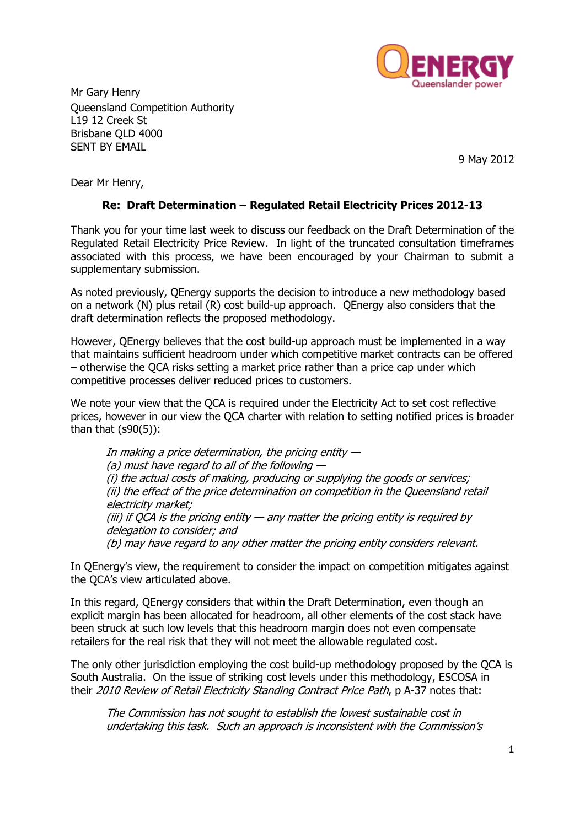

Mr Gary Henry Queensland Competition Authority L19 12 Creek St Brisbane QLD 4000 SENT BY EMAIL

9 May 2012

Dear Mr Henry,

## **Re: Draft Determination – Regulated Retail Electricity Prices 2012-13**

Thank you for your time last week to discuss our feedback on the Draft Determination of the Regulated Retail Electricity Price Review. In light of the truncated consultation timeframes associated with this process, we have been encouraged by your Chairman to submit a supplementary submission.

As noted previously, QEnergy supports the decision to introduce a new methodology based on a network (N) plus retail (R) cost build-up approach. QEnergy also considers that the draft determination reflects the proposed methodology.

However, QEnergy believes that the cost build-up approach must be implemented in a way that maintains sufficient headroom under which competitive market contracts can be offered – otherwise the QCA risks setting a market price rather than a price cap under which competitive processes deliver reduced prices to customers.

We note your view that the QCA is required under the Electricity Act to set cost reflective prices, however in our view the QCA charter with relation to setting notified prices is broader than that  $(s90(5))$ :

In making a price determination, the pricing entity  $-$ (a) must have regard to all of the following  $-$ (i) the actual costs of making, producing or supplying the goods or services; (ii) the effect of the price determination on competition in the Queensland retail electricity market; (iii) if QCA is the pricing entity  $-$  any matter the pricing entity is required by delegation to consider; and (b) may have regard to any other matter the pricing entity considers relevant.

In QEnergy's view, the requirement to consider the impact on competition mitigates against the QCA's view articulated above.

In this regard, QEnergy considers that within the Draft Determination, even though an explicit margin has been allocated for headroom, all other elements of the cost stack have been struck at such low levels that this headroom margin does not even compensate retailers for the real risk that they will not meet the allowable regulated cost.

The only other jurisdiction employing the cost build-up methodology proposed by the QCA is South Australia. On the issue of striking cost levels under this methodology, ESCOSA in their 2010 Review of Retail Electricity Standing Contract Price Path, p A-37 notes that:

The Commission has not sought to establish the lowest sustainable cost in undertaking this task. Such an approach is inconsistent with the Commission's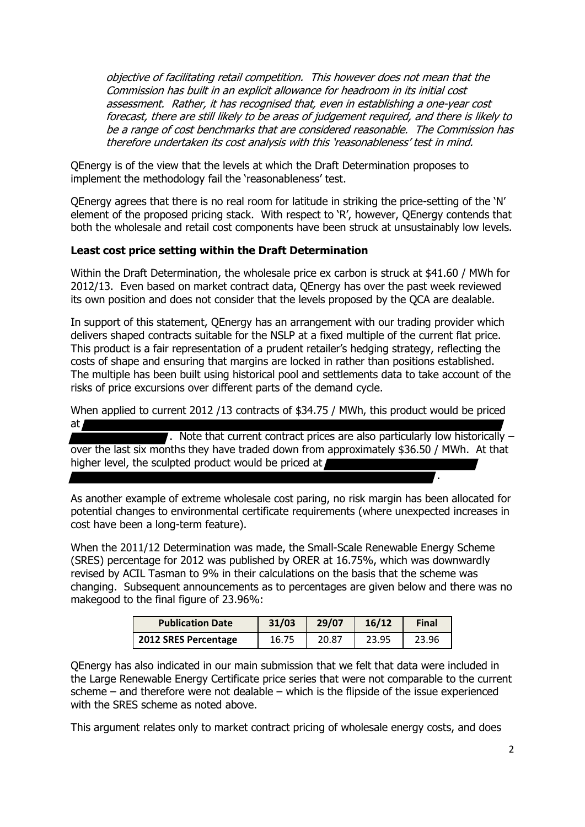objective of facilitating retail competition. This however does not mean that the Commission has built in an explicit allowance for headroom in its initial cost assessment. Rather, it has recognised that, even in establishing a one-year cost forecast, there are still likely to be areas of judgement required, and there is likely to be a range of cost benchmarks that are considered reasonable. The Commission has therefore undertaken its cost analysis with this 'reasonableness' test in mind.

QEnergy is of the view that the levels at which the Draft Determination proposes to implement the methodology fail the 'reasonableness' test.

QEnergy agrees that there is no real room for latitude in striking the price-setting of the 'N' element of the proposed pricing stack. With respect to 'R', however, QEnergy contends that both the wholesale and retail cost components have been struck at unsustainably low levels.

### **Least cost price setting within the Draft Determination**

Within the Draft Determination, the wholesale price ex carbon is struck at \$41.60 / MWh for 2012/13. Even based on market contract data, QEnergy has over the past week reviewed its own position and does not consider that the levels proposed by the QCA are dealable.

In support of this statement, QEnergy has an arrangement with our trading provider which delivers shaped contracts suitable for the NSLP at a fixed multiple of the current flat price. This product is a fair representation of a prudent retailer's hedging strategy, reflecting the costs of shape and ensuring that margins are locked in rather than positions established. The multiple has been built using historical pool and settlements data to take account of the risks of price excursions over different parts of the demand cycle.

When applied to current 2012 /13 contracts of \$34.75 / MWh, this product would be priced at

 $\blacksquare$ . Note that current contract prices are also particularly low historically  $\blacksquare$ over the last six months they have traded down from approximately \$36.50 / MWh. At that higher level, the sculpted product would be priced at  $\ell$ 

As another example of extreme wholesale cost paring, no risk margin has been allocated for potential changes to environmental certificate requirements (where unexpected increases in cost have been a long-term feature).

When the 2011/12 Determination was made, the Small-Scale Renewable Energy Scheme (SRES) percentage for 2012 was published by ORER at 16.75%, which was downwardly revised by ACIL Tasman to 9% in their calculations on the basis that the scheme was changing. Subsequent announcements as to percentages are given below and there was no makegood to the final figure of 23.96%:

| <b>Publication Date</b> | 31/03 | 29/07 | 16/12 | <b>Final</b> |
|-------------------------|-------|-------|-------|--------------|
| 2012 SRES Percentage    | 16.75 | 20.87 | 23.95 | 23.96        |

QEnergy has also indicated in our main submission that we felt that data were included in the Large Renewable Energy Certificate price series that were not comparable to the current scheme – and therefore were not dealable – which is the flipside of the issue experienced with the SRES scheme as noted above.

This argument relates only to market contract pricing of wholesale energy costs, and does

.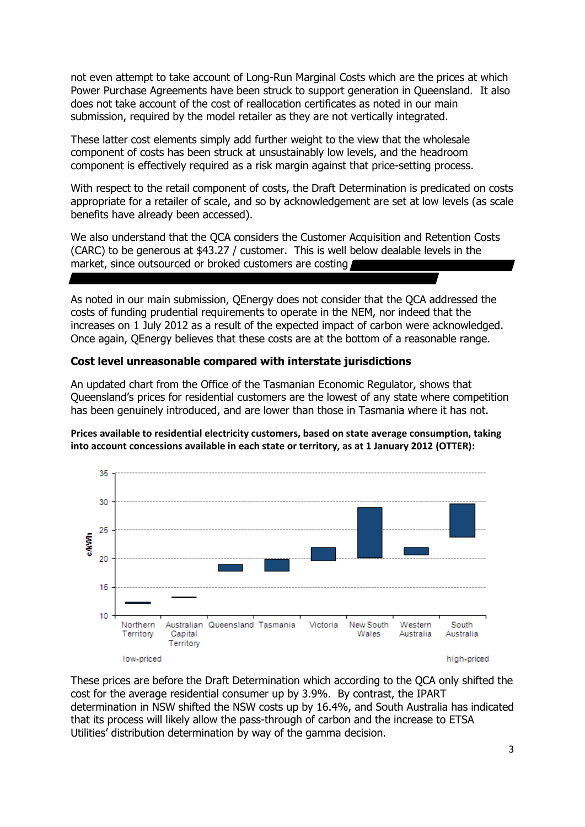not even attempt to take account of Long-Run Marginal Costs which are the prices at which Power Purchase Agreements have been struck to support generation in Queensland. It also does not take account of the cost of reallocation certificates as noted in our main submission, required by the model retailer as they are not vertically integrated.

These latter cost elements simply add further weight to the view that the wholesale component of costs has been struck at unsustainably low levels, and the headroom component is effectively required as a risk margin against that price-setting process.

With respect to the retail component of costs, the Draft Determination is predicated on costs appropriate for a retailer of scale, and so by acknowledgement are set at low levels (as scale benefits have already been accessed).

We also understand that the QCA considers the Customer Acquisition and Retention Costs (CARC) to be generous at \$43.27 / customer. This is well below dealable levels in the market, since outsourced or broked customers are costing

As noted in our main submission, QEnergy does not consider that the QCA addressed the costs of funding prudential requirements to operate in the NEM, nor indeed that the increases on 1 July 2012 as a result of the expected impact of carbon were acknowledged. Once again, QEnergy believes that these costs are at the bottom of a reasonable range.

## **Cost level unreasonable compared with interstate jurisdictions**

An updated chart from the Office of the Tasmanian Economic Regulator, shows that Queensland's prices for residential customers are the lowest of any state where competition has been genuinely introduced, and are lower than those in Tasmania where it has not.

**Prices available to residential electricity customers, based on state average consumption, taking into account concessions available in each state or territory, as at 1 January 2012 (OTTER):**



These prices are before the Draft Determination which according to the QCA only shifted the cost for the average residential consumer up by 3.9%. By contrast, the IPART determination in NSW shifted the NSW costs up by 16.4%, and South Australia has indicated that its process will likely allow the pass-through of carbon and the increase to ETSA Utilities' distribution determination by way of the gamma decision.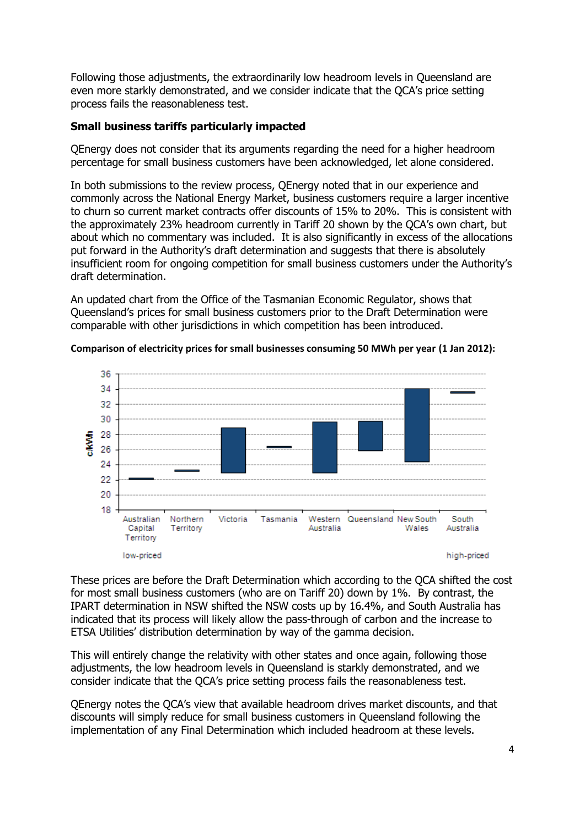Following those adjustments, the extraordinarily low headroom levels in Queensland are even more starkly demonstrated, and we consider indicate that the QCA's price setting process fails the reasonableness test.

# **Small business tariffs particularly impacted**

QEnergy does not consider that its arguments regarding the need for a higher headroom percentage for small business customers have been acknowledged, let alone considered.

In both submissions to the review process, QEnergy noted that in our experience and commonly across the National Energy Market, business customers require a larger incentive to churn so current market contracts offer discounts of 15% to 20%. This is consistent with the approximately 23% headroom currently in Tariff 20 shown by the QCA's own chart, but about which no commentary was included. It is also significantly in excess of the allocations put forward in the Authority's draft determination and suggests that there is absolutely insufficient room for ongoing competition for small business customers under the Authority's draft determination.

An updated chart from the Office of the Tasmanian Economic Regulator, shows that Queensland's prices for small business customers prior to the Draft Determination were comparable with other jurisdictions in which competition has been introduced.



**Comparison of electricity prices for small businesses consuming 50 MWh per year (1 Jan 2012):**

These prices are before the Draft Determination which according to the QCA shifted the cost for most small business customers (who are on Tariff 20) down by 1%. By contrast, the IPART determination in NSW shifted the NSW costs up by 16.4%, and South Australia has indicated that its process will likely allow the pass-through of carbon and the increase to ETSA Utilities' distribution determination by way of the gamma decision.

This will entirely change the relativity with other states and once again, following those adjustments, the low headroom levels in Queensland is starkly demonstrated, and we consider indicate that the QCA's price setting process fails the reasonableness test.

QEnergy notes the QCA's view that available headroom drives market discounts, and that discounts will simply reduce for small business customers in Queensland following the implementation of any Final Determination which included headroom at these levels.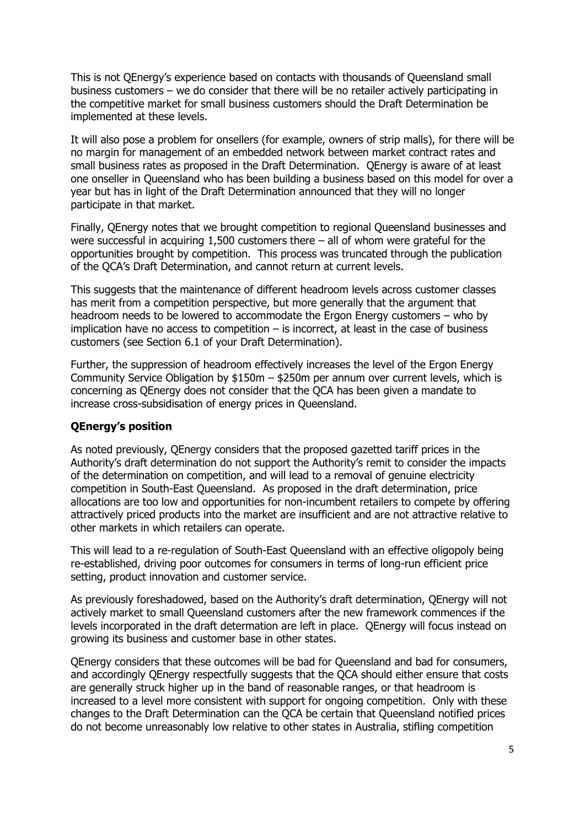This is not QEnergy's experience based on contacts with thousands of Queensland small business customers – we do consider that there will be no retailer actively participating in the competitive market for small business customers should the Draft Determination be implemented at these levels.

It will also pose a problem for onsellers (for example, owners of strip malls), for there will be no margin for management of an embedded network between market contract rates and small business rates as proposed in the Draft Determination. QEnergy is aware of at least one onseller in Queensland who has been building a business based on this model for over a year but has in light of the Draft Determination announced that they will no longer participate in that market.

Finally, QEnergy notes that we brought competition to regional Queensland businesses and were successful in acquiring 1,500 customers there – all of whom were grateful for the opportunities brought by competition. This process was truncated through the publication of the QCA's Draft Determination, and cannot return at current levels.

This suggests that the maintenance of different headroom levels across customer classes has merit from a competition perspective, but more generally that the argument that headroom needs to be lowered to accommodate the Ergon Energy customers – who by implication have no access to competition  $-$  is incorrect, at least in the case of business customers (see Section 6.1 of your Draft Determination).

Further, the suppression of headroom effectively increases the level of the Ergon Energy Community Service Obligation by \$150m – \$250m per annum over current levels, which is concerning as QEnergy does not consider that the QCA has been given a mandate to increase cross-subsidisation of energy prices in Queensland.

### **QEnergy's position**

As noted previously, QEnergy considers that the proposed gazetted tariff prices in the Authority's draft determination do not support the Authority's remit to consider the impacts of the determination on competition, and will lead to a removal of genuine electricity competition in South-East Queensland. As proposed in the draft determination, price allocations are too low and opportunities for non-incumbent retailers to compete by offering attractively priced products into the market are insufficient and are not attractive relative to other markets in which retailers can operate.

This will lead to a re-regulation of South-East Queensland with an effective oligopoly being re-established, driving poor outcomes for consumers in terms of long-run efficient price setting, product innovation and customer service.

As previously foreshadowed, based on the Authority's draft determination, QEnergy will not actively market to small Queensland customers after the new framework commences if the levels incorporated in the draft determation are left in place. QEnergy will focus instead on growing its business and customer base in other states.

QEnergy considers that these outcomes will be bad for Queensland and bad for consumers, and accordingly QEnergy respectfully suggests that the QCA should either ensure that costs are generally struck higher up in the band of reasonable ranges, or that headroom is increased to a level more consistent with support for ongoing competition. Only with these changes to the Draft Determination can the QCA be certain that Queensland notified prices do not become unreasonably low relative to other states in Australia, stifling competition